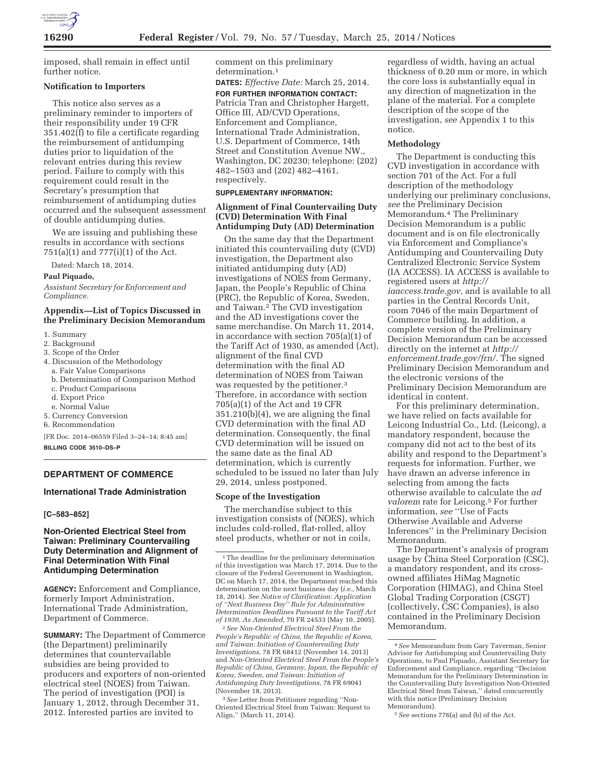

imposed, shall remain in effect until further notice.

#### **Notification to Importers**

This notice also serves as a preliminary reminder to importers of their responsibility under 19 CFR 351.402(f) to file a certificate regarding the reimbursement of antidumping duties prior to liquidation of the relevant entries during this review period. Failure to comply with this requirement could result in the Secretary's presumption that reimbursement of antidumping duties occurred and the subsequent assessment of double antidumping duties.

We are issuing and publishing these results in accordance with sections 751(a)(1) and 777(i)(1) of the Act.

Dated: March 18, 2014.

## **Paul Piquado,**

*Assistant Secretary for Enforcement and Compliance.* 

## **Appendix—List of Topics Discussed in the Preliminary Decision Memorandum**

- 1. Summary
- 2. Background
- 3. Scope of the Order
- 4. Discussion of the Methodology
- a. Fair Value Comparisons
- b. Determination of Comparison Method
- c. Product Comparisons
- d. Export Price
- e. Normal Value
- 5. Currency Conversion
- 6. Recommendation

[FR Doc. 2014–06559 Filed 3–24–14; 8:45 am] **BILLING CODE 3510–DS–P** 

# **DEPARTMENT OF COMMERCE**

#### **International Trade Administration**

#### **[C–583–852]**

# **Non-Oriented Electrical Steel from Taiwan: Preliminary Countervailing Duty Determination and Alignment of Final Determination With Final Antidumping Determination**

**AGENCY:** Enforcement and Compliance, formerly Import Administration, International Trade Administration, Department of Commerce.

**SUMMARY:** The Department of Commerce (the Department) preliminarily determines that countervailable subsidies are being provided to producers and exporters of non-oriented electrical steel (NOES) from Taiwan. The period of investigation (POI) is January 1, 2012, through December 31, 2012. Interested parties are invited to

comment on this preliminary determination.<sup>1</sup>

**DATES:** *Effective Date:* March 25, 2014.

**FOR FURTHER INFORMATION CONTACT:**  Patricia Tran and Christopher Hargett, Office III, AD/CVD Operations, Enforcement and Compliance, International Trade Administration, U.S. Department of Commerce, 14th Street and Constitution Avenue NW., Washington, DC 20230; telephone: (202) 482–1503 and (202) 482–4161, respectively.

## **SUPPLEMENTARY INFORMATION:**

## **Alignment of Final Countervailing Duty (CVD) Determination With Final Antidumping Duty (AD) Determination**

On the same day that the Department initiated this countervailing duty (CVD) investigation, the Department also initiated antidumping duty (AD) investigations of NOES from Germany, Japan, the People's Republic of China (PRC), the Republic of Korea, Sweden, and Taiwan.2 The CVD investigation and the AD investigations cover the same merchandise. On March 11, 2014, in accordance with section 705(a)(1) of the Tariff Act of 1930, as amended (Act), alignment of the final CVD determination with the final AD determination of NOES from Taiwan was requested by the petitioner.3 Therefore, in accordance with section 705(a)(1) of the Act and 19 CFR 351.210(b)(4), we are aligning the final CVD determination with the final AD determination. Consequently, the final CVD determination will be issued on the same date as the final AD determination, which is currently scheduled to be issued no later than July 29, 2014, unless postponed.

### **Scope of the Investigation**

The merchandise subject to this investigation consists of (NOES), which includes cold-rolled, flat-rolled, alloy steel products, whether or not in coils,

2*See Non-Oriented Electrical Steel From the People's Republic of China, the Republic of Korea, and Taiwan: Initiation of Countervailing Duty Investigations,* 78 FR 68412 (November 14, 2013) and *Non-Oriented Electrical Steel From the People's Republic of China, Germany, Japan, the Republic of Korea, Sweden, and Taiwan: Initiation of Antidumping Duty Investigations,* 78 FR 69041 (November 18, 2013).

3*See* Letter from Petitioner regarding ''Non-Oriented Electrical Steel from Taiwan: Request to Align,'' (March 11, 2014).

regardless of width, having an actual thickness of 0.20 mm or more, in which the core loss is substantially equal in any direction of magnetization in the plane of the material. For a complete description of the scope of the investigation, *see* Appendix 1 to this notice.

#### **Methodology**

The Department is conducting this CVD investigation in accordance with section 701 of the Act. For a full description of the methodology underlying our preliminary conclusions, *see* the Preliminary Decision Memorandum.4 The Preliminary Decision Memorandum is a public document and is on file electronically via Enforcement and Compliance's Antidumping and Countervailing Duty Centralized Electronic Service System (IA ACCESS). IA ACCESS is available to registered users at *http:// iaaccess.trade.gov,* and is available to all parties in the Central Records Unit, room 7046 of the main Department of Commerce building. In addition, a complete version of the Preliminary Decision Memorandum can be accessed directly on the internet at *http:// enforcement.trade.gov/frn/.* The signed Preliminary Decision Memorandum and the electronic versions of the Preliminary Decision Memorandum are identical in content.

For this preliminary determination, we have relied on facts available for Leicong Industrial Co., Ltd. (Leicong), a mandatory respondent, because the company did not act to the best of its ability and respond to the Department's requests for information. Further, we have drawn an adverse inference in selecting from among the facts otherwise available to calculate the *ad valorem* rate for Leicong.5 For further information, *see* ''Use of Facts Otherwise Available and Adverse Inferences'' in the Preliminary Decision Memorandum.

The Department's analysis of program usage by China Steel Corporation (CSC), a mandatory respondent, and its crossowned affiliates HiMag Magnetic Corporation (HIMAG), and China Steel Global Trading Corporation (CSGT) (collectively, CSC Companies), is also contained in the Preliminary Decision Memorandum.

5*See* sections 776(a) and (b) of the Act.

<sup>1</sup>The deadline for the preliminary determination of this investigation was March 17, 2014. Due to the closure of the Federal Government in Washington, DC on March 17, 2014, the Department reached this determination on the next business day (*i.e.,* March 18, 2014). *See Notice of Clarification: Application of ''Next Business Day'' Rule for Administrative Determination Deadlines Pursuant to the Tariff Act of 1930, As Amended,* 70 FR 24533 (May 10, 2005).

<sup>4</sup>*See* Memorandum from Gary Taverman, Senior Advisor for Antidumping and Countervailing Duty Operations, to Paul Piquado, Assistant Secretary for Enforcement and Compliance, regarding ''Decision Memorandum for the Preliminary Determination in the Countervailing Duty Investigation Non-Oriented Electrical Steel from Taiwan,'' dated concurrently with this notice (Preliminary Decision Memorandum).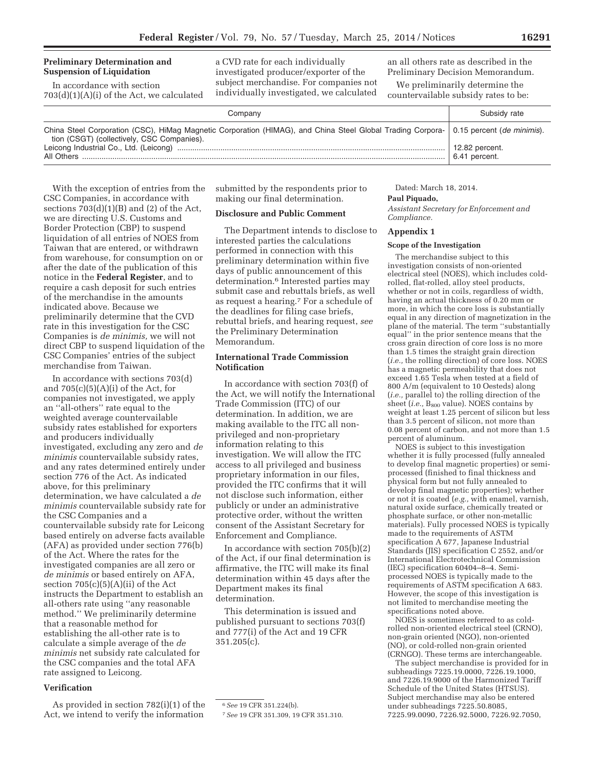# **Preliminary Determination and Suspension of Liquidation**

In accordance with section 703(d)(1)(A)(i) of the Act, we calculated a CVD rate for each individually investigated producer/exporter of the subject merchandise. For companies not individually investigated, we calculated

an all others rate as described in the Preliminary Decision Memorandum.

We preliminarily determine the countervailable subsidy rates to be:

| Companv                                                                                                                                                                               | Subsidy rate   |
|---------------------------------------------------------------------------------------------------------------------------------------------------------------------------------------|----------------|
| China Steel Corporation (CSC), HiMag Magnetic Corporation (HIMAG), and China Steel Global Trading Corpora-   0.15 percent (de minimis).<br>tion (CSGT) (collectively, CSC Companies). | 12.82 percent. |
|                                                                                                                                                                                       | 6.41 percent.  |

With the exception of entries from the CSC Companies, in accordance with sections  $703(d)(1)(B)$  and  $(2)$  of the Act, we are directing U.S. Customs and Border Protection (CBP) to suspend liquidation of all entries of NOES from Taiwan that are entered, or withdrawn from warehouse, for consumption on or after the date of the publication of this notice in the **Federal Register**, and to require a cash deposit for such entries of the merchandise in the amounts indicated above. Because we preliminarily determine that the CVD rate in this investigation for the CSC Companies is *de minimis,* we will not direct CBP to suspend liquidation of the CSC Companies' entries of the subject merchandise from Taiwan.

In accordance with sections 703(d) and  $705(c)(5)(A)(i)$  of the Act, for companies not investigated, we apply an ''all-others'' rate equal to the weighted average countervailable subsidy rates established for exporters and producers individually investigated, excluding any zero and *de minimis* countervailable subsidy rates, and any rates determined entirely under section 776 of the Act. As indicated above, for this preliminary determination, we have calculated a *de minimis* countervailable subsidy rate for the CSC Companies and a countervailable subsidy rate for Leicong based entirely on adverse facts available (AFA) as provided under section 776(b) of the Act. Where the rates for the investigated companies are all zero or *de minimis* or based entirely on AFA, section  $705(c)(5)(A)(ii)$  of the Act instructs the Department to establish an all-others rate using ''any reasonable method.'' We preliminarily determine that a reasonable method for establishing the all-other rate is to calculate a simple average of the *de minimis* net subsidy rate calculated for the CSC companies and the total AFA rate assigned to Leicong.

## **Verification**

As provided in section 782(i)(1) of the Act, we intend to verify the information

submitted by the respondents prior to making our final determination.

# **Disclosure and Public Comment**

The Department intends to disclose to interested parties the calculations performed in connection with this preliminary determination within five days of public announcement of this determination.6 Interested parties may submit case and rebuttals briefs, as well as request a hearing.7 For a schedule of the deadlines for filing case briefs, rebuttal briefs, and hearing request, *see*  the Preliminary Determination Memorandum.

# **International Trade Commission Notification**

In accordance with section 703(f) of the Act, we will notify the International Trade Commission (ITC) of our determination. In addition, we are making available to the ITC all nonprivileged and non-proprietary information relating to this investigation. We will allow the ITC access to all privileged and business proprietary information in our files, provided the ITC confirms that it will not disclose such information, either publicly or under an administrative protective order, without the written consent of the Assistant Secretary for Enforcement and Compliance.

In accordance with section 705(b)(2) of the Act, if our final determination is affirmative, the ITC will make its final determination within 45 days after the Department makes its final determination.

This determination is issued and published pursuant to sections 703(f) and 777(i) of the Act and 19 CFR 351.205(c).

## Dated: March 18, 2014. **Paul Piquado,**

*Assistant Secretary for Enforcement and Compliance.* 

#### **Appendix 1**

# **Scope of the Investigation**

The merchandise subject to this investigation consists of non-oriented electrical steel (NOES), which includes coldrolled, flat-rolled, alloy steel products, whether or not in coils, regardless of width, having an actual thickness of 0.20 mm or more, in which the core loss is substantially equal in any direction of magnetization in the plane of the material. The term ''substantially equal'' in the prior sentence means that the cross grain direction of core loss is no more than 1.5 times the straight grain direction (*i.e.,* the rolling direction) of core loss. NOES has a magnetic permeability that does not exceed 1.65 Tesla when tested at a field of 800 A/m (equivalent to 10 Oesteds) along (*i.e.,* parallel to) the rolling direction of the sheet (*i.e.*, B<sub>800</sub> value). NOES contains by weight at least 1.25 percent of silicon but less than 3.5 percent of silicon, not more than 0.08 percent of carbon, and not more than 1.5 percent of aluminum.

NOES is subject to this investigation whether it is fully processed (fully annealed to develop final magnetic properties) or semiprocessed (finished to final thickness and physical form but not fully annealed to develop final magnetic properties); whether or not it is coated (*e.g.,* with enamel, varnish, natural oxide surface, chemically treated or phosphate surface, or other non-metallic materials). Fully processed NOES is typically made to the requirements of ASTM specification A 677, Japanese Industrial Standards (JIS) specification C 2552, and/or International Electrotechnical Commission (IEC) specification 60404–8–4. Semiprocessed NOES is typically made to the requirements of ASTM specification A 683. However, the scope of this investigation is not limited to merchandise meeting the specifications noted above.

NOES is sometimes referred to as coldrolled non-oriented electrical steel (CRNO), non-grain oriented (NGO), non-oriented (NO), or cold-rolled non-grain oriented (CRNGO). These terms are interchangeable.

The subject merchandise is provided for in subheadings 7225.19.0000, 7226.19.1000, and 7226.19.9000 of the Harmonized Tariff Schedule of the United States (HTSUS). Subject merchandise may also be entered under subheadings 7225.50.8085, 7225.99.0090, 7226.92.5000, 7226.92.7050,

<sup>6</sup>*See* 19 CFR 351.224(b).

<sup>7</sup>*See* 19 CFR 351.309, 19 CFR 351.310.